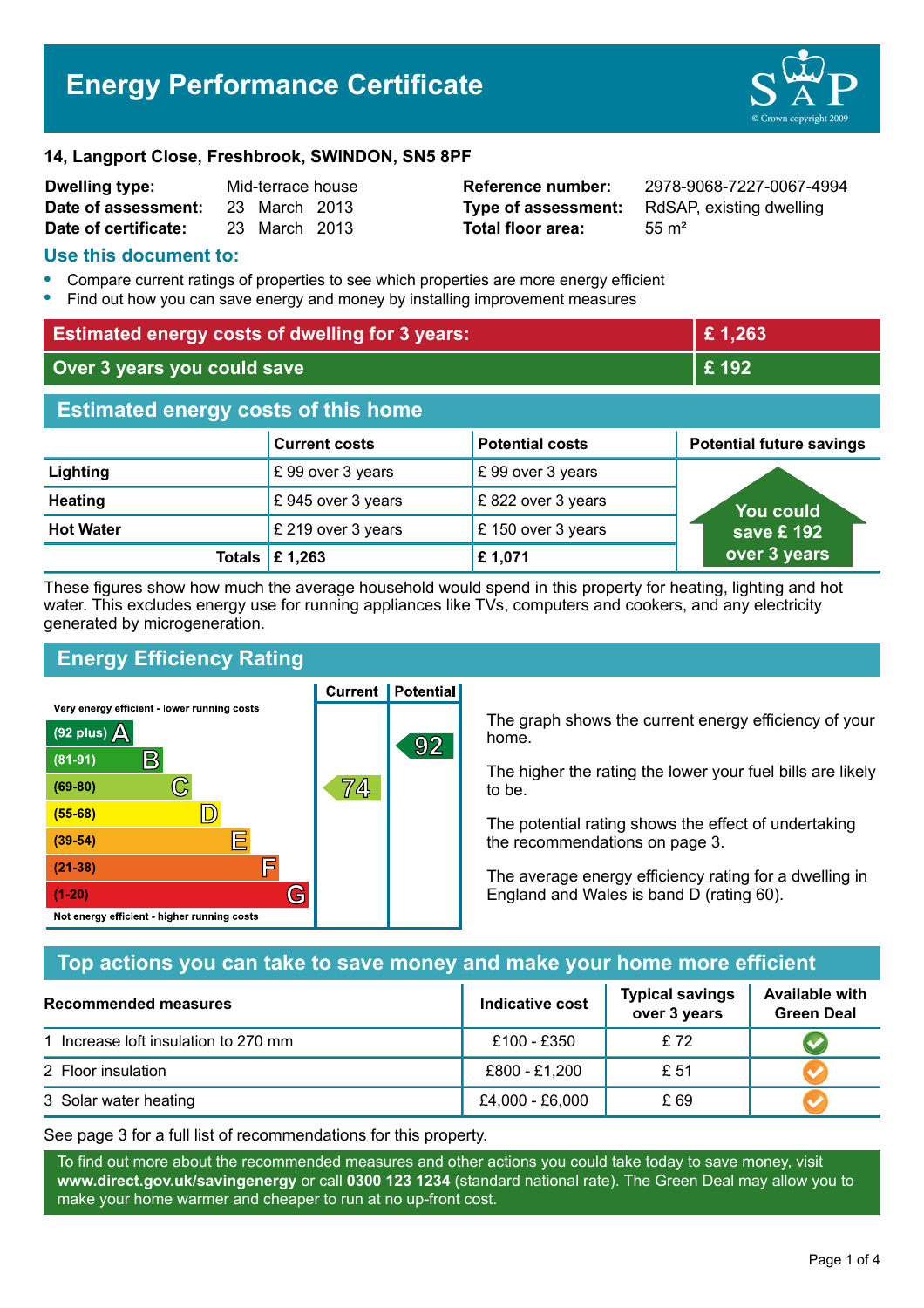# **Energy Performance Certificate**



#### **14, Langport Close, Freshbrook, SWINDON, SN5 8PF**

| <b>Dwelling type:</b> | Mid-terrace house |               |  |
|-----------------------|-------------------|---------------|--|
| Date of assessment:   |                   | 23 March 2013 |  |
| Date of certificate:  |                   | 23 March 2013 |  |

**Total floor area:** 55 m<sup>2</sup>

**Dwelling type:** Mid-terrace house **Reference number:** 2978-9068-7227-0067-4994 **Type of assessment:** RdSAP, existing dwelling

#### **Use this document to:**

- **•** Compare current ratings of properties to see which properties are more energy efficient
- **•** Find out how you can save energy and money by installing improvement measures

| <b>Estimated energy costs of dwelling for 3 years:</b> |                      |                        | £1,263                          |
|--------------------------------------------------------|----------------------|------------------------|---------------------------------|
| Over 3 years you could save                            |                      | £192                   |                                 |
| <b>Estimated energy costs of this home</b>             |                      |                        |                                 |
|                                                        | <b>Current costs</b> | <b>Potential costs</b> | <b>Potential future savings</b> |
| Lighting                                               | £99 over 3 years     | £99 over 3 years       |                                 |
| <b>Heating</b>                                         | £945 over 3 years    | £822 over 3 years      | <b>You could</b>                |
| <b>Hot Water</b>                                       | £ 219 over 3 years   | £150 over 3 years      | save £ 192                      |
| <b>Totals</b>                                          | £1,263               | £1,071                 | over 3 years                    |

These figures show how much the average household would spend in this property for heating, lighting and hot water. This excludes energy use for running appliances like TVs, computers and cookers, and any electricity generated by microgeneration.

**Current | Potential** 

# **Energy Efficiency Rating**

Very energy efficient - lower running costs



The graph shows the current energy efficiency of your home.

The higher the rating the lower your fuel bills are likely to be.

The potential rating shows the effect of undertaking the recommendations on page 3.

The average energy efficiency rating for a dwelling in England and Wales is band D (rating 60).

# **Top actions you can take to save money and make your home more efficient**

| Recommended measures                 | <b>Indicative cost</b> | <b>Typical savings</b><br>over 3 years | <b>Available with</b><br><b>Green Deal</b> |
|--------------------------------------|------------------------|----------------------------------------|--------------------------------------------|
| 1 Increase loft insulation to 270 mm | £100 - £350            | £ 72                                   |                                            |
| 2 Floor insulation                   | £800 - £1,200          | £ 51                                   |                                            |
| 3 Solar water heating                | £4,000 - £6,000        | £ 69                                   |                                            |

See page 3 for a full list of recommendations for this property.

To find out more about the recommended measures and other actions you could take today to save money, visit **www.direct.gov.uk/savingenergy** or call **0300 123 1234** (standard national rate). The Green Deal may allow you to make your home warmer and cheaper to run at no up-front cost.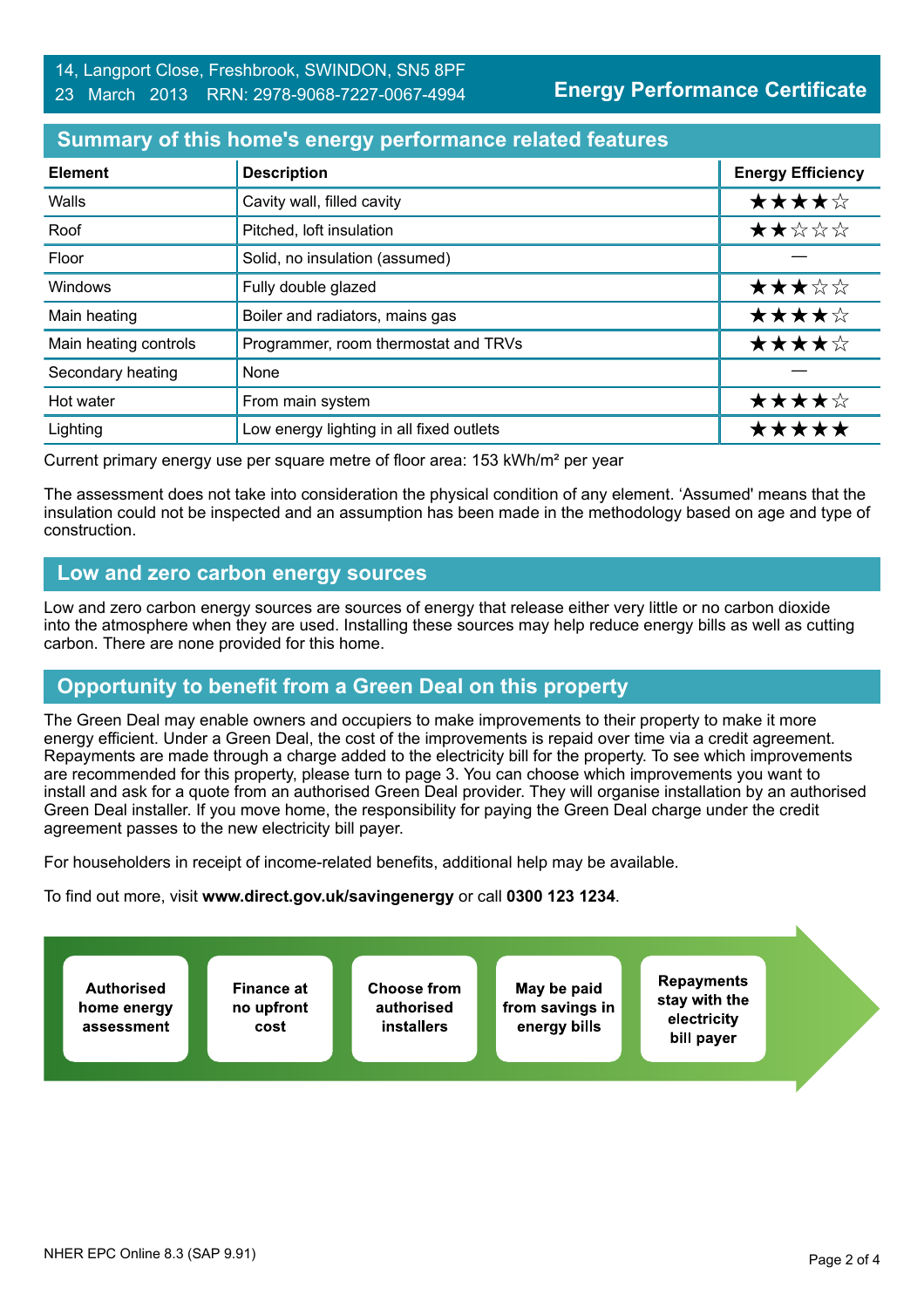**Energy Performance Certificate**

# **Summary of this home's energy performance related features**

| <b>Element</b>        | <b>Description</b>                       | <b>Energy Efficiency</b> |
|-----------------------|------------------------------------------|--------------------------|
| Walls                 | Cavity wall, filled cavity               | ★★★★☆                    |
| Roof                  | Pitched, loft insulation                 | ★★☆☆☆                    |
| Floor                 | Solid, no insulation (assumed)           |                          |
| Windows               | Fully double glazed                      | ★★★☆☆                    |
| Main heating          | Boiler and radiators, mains gas          | ★★★★☆                    |
| Main heating controls | Programmer, room thermostat and TRVs     | ★★★★☆                    |
| Secondary heating     | None                                     |                          |
| Hot water             | From main system                         | ★★★★☆                    |
| Lighting              | Low energy lighting in all fixed outlets | *****                    |

Current primary energy use per square metre of floor area: 153 kWh/m² per year

The assessment does not take into consideration the physical condition of any element. 'Assumed' means that the insulation could not be inspected and an assumption has been made in the methodology based on age and type of construction.

# **Low and zero carbon energy sources**

Low and zero carbon energy sources are sources of energy that release either very little or no carbon dioxide into the atmosphere when they are used. Installing these sources may help reduce energy bills as well as cutting carbon. There are none provided for this home.

# **Opportunity to benefit from a Green Deal on this property**

The Green Deal may enable owners and occupiers to make improvements to their property to make it more energy efficient. Under a Green Deal, the cost of the improvements is repaid over time via a credit agreement. Repayments are made through a charge added to the electricity bill for the property. To see which improvements are recommended for this property, please turn to page 3. You can choose which improvements you want to install and ask for a quote from an authorised Green Deal provider. They will organise installation by an authorised Green Deal installer. If you move home, the responsibility for paying the Green Deal charge under the credit agreement passes to the new electricity bill payer.

For householders in receipt of income-related benefits, additional help may be available.

To find out more, visit **www.direct.gov.uk/savingenergy** or call **0300 123 1234**.

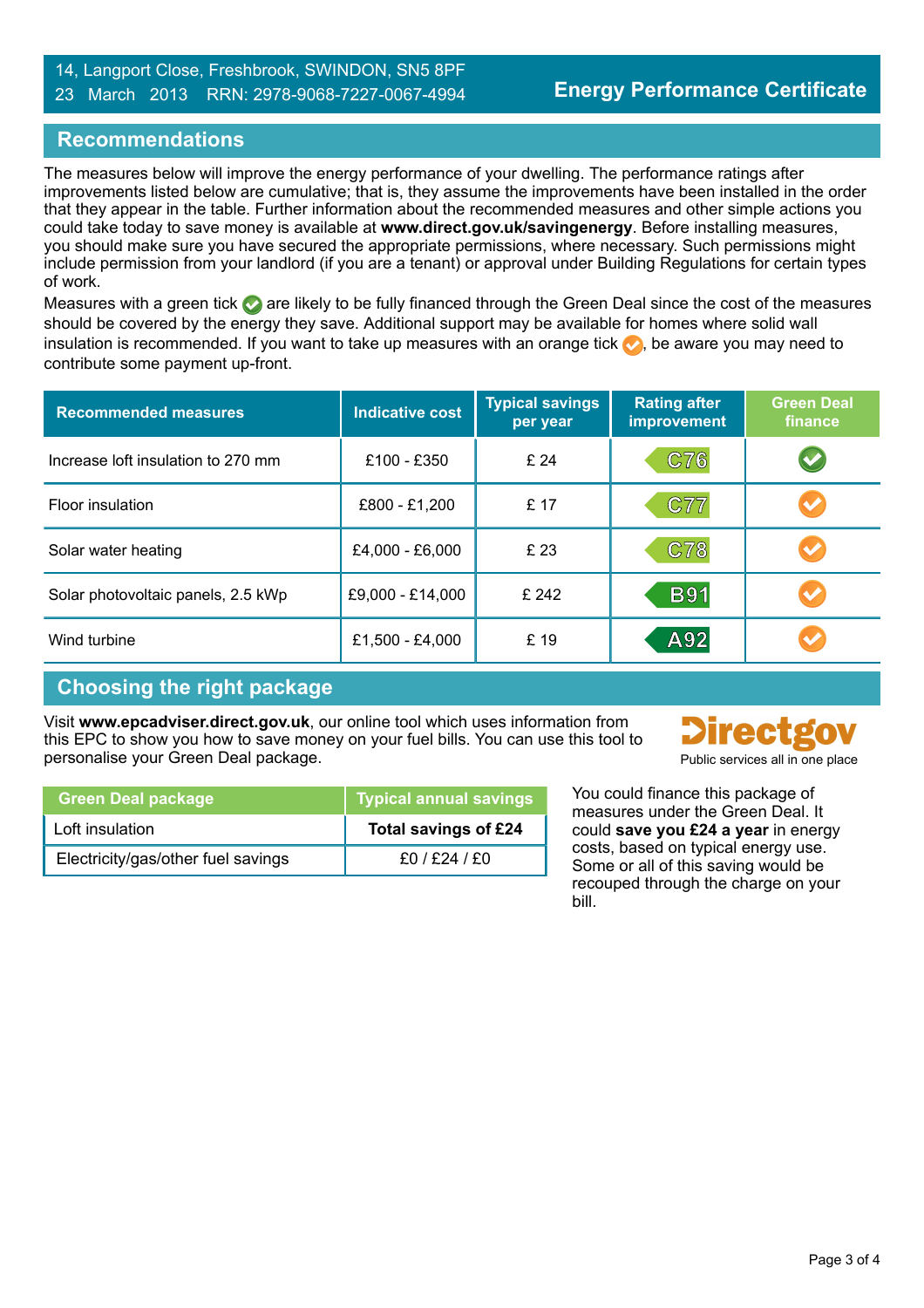#### 14, Langport Close, Freshbrook, SWINDON, SN5 8PF 23 March 2013 RRN: 2978-9068-7227-0067-4994

# **Recommendations**

The measures below will improve the energy performance of your dwelling. The performance ratings after improvements listed below are cumulative; that is, they assume the improvements have been installed in the order that they appear in the table. Further information about the recommended measures and other simple actions you could take today to save money is available at **www.direct.gov.uk/savingenergy**. Before installing measures, you should make sure you have secured the appropriate permissions, where necessary. Such permissions might include permission from your landlord (if you are a tenant) or approval under Building Regulations for certain types of work.

Measures with a green tick are likely to be fully financed through the Green Deal since the cost of the measures should be covered by the energy they save. Additional support may be available for homes where solid wall insulation is recommended. If you want to take up measures with an orange tick  $\bullet$ , be aware you may need to contribute some payment up-front.

| <b>Recommended measures</b>        | <b>Indicative cost</b> | <b>Typical savings</b><br>per year | <b>Rating after</b><br>improvement | <b>Green Deal</b><br>finance |
|------------------------------------|------------------------|------------------------------------|------------------------------------|------------------------------|
| Increase loft insulation to 270 mm | £100 - £350            | £ 24                               | C76                                |                              |
| Floor insulation                   | £800 - £1,200          | £ 17                               | C77                                |                              |
| Solar water heating                | £4,000 - £6,000        | £ 23                               | C78                                |                              |
| Solar photovoltaic panels, 2.5 kWp | £9,000 - £14,000       | £ 242                              | <b>B91</b>                         |                              |
| Wind turbine                       | £1,500 - £4,000        | £19                                | A92                                |                              |

# **Choosing the right package**

Visit **www.epcadviser.direct.gov.uk**, our online tool which uses information from this EPC to show you how to save money on your fuel bills. You can use this tool to personalise your Green Deal package. Public services all in one place of the place of the place of the place of the place of the place of the place of the place of the place of the place of the place of the place of the pl



| <b>Green Deal package</b>          | <b>Typical annual savings</b> |
|------------------------------------|-------------------------------|
| Loft insulation                    | Total savings of £24          |
| Electricity/gas/other fuel savings | $f0/$ $f24/$ $f0$             |

You could finance this package of measures under the Green Deal. It could **save you £24 a year** in energy costs, based on typical energy use. Some or all of this saving would be recouped through the charge on your bill.